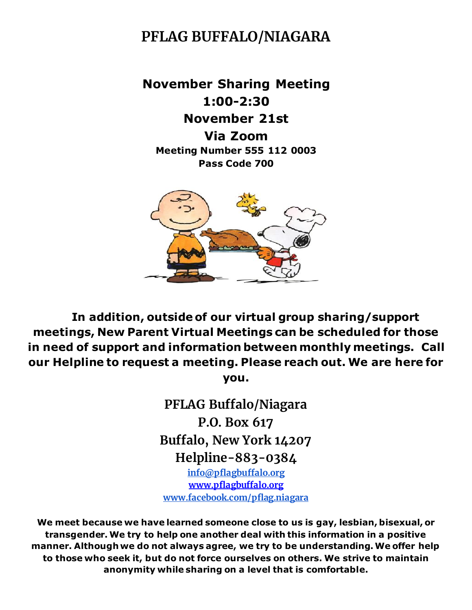# **PFLAG BUFFALO/NIAGARA**

**November Sharing Meeting 1:00-2:30 November 21st Via Zoom Meeting Number 555 112 0003 Pass Code 700**



 **In addition, outside of our virtual group sharing/support meetings, New Parent Virtual Meetings can be scheduled for those in need of support and information between monthly meetings. Call our Helpline to request a meeting. Please reach out. We are here for** 

**you.**

**PFLAG Buffalo/Niagara P.O. Box 617 Buffalo, New York 14207 Helpline-883-0384 [info@pflagbuffalo.org](mailto:info@pflagbuffalo.org) [www.pflagbuffalo.org](http://www.pflagbuffalo.org/) [www.facebook.com/pflag.niagara](http://www.facebook.com/pflag.niagara)**

**We meet because we have learned someone close to us is gay, lesbian, bisexual, or transgender. We try to help one another deal with this information in a positive manner. Although we do not always agree, we try to be understanding. We offer help to those who seek it, but do not force ourselves on others. We strive to maintain anonymity while sharing on a level that is comfortable.**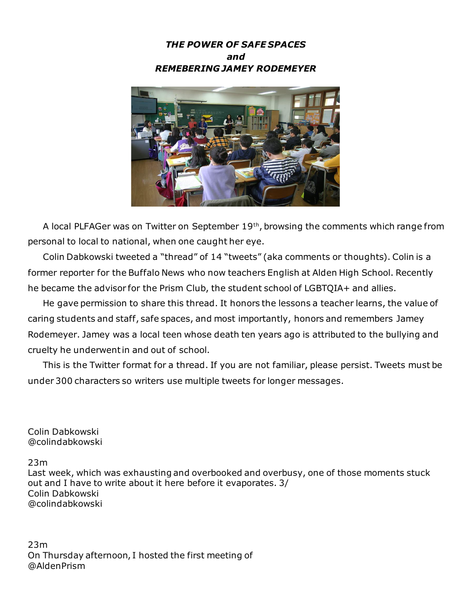



 A local PLFAGer was on Twitter on September 19th, browsing the comments which range from personal to local to national, when one caught her eye.

 Colin Dabkowski tweeted a "thread" of 14 "tweets" (aka comments or thoughts). Colin is a former reporter for the Buffalo News who now teachers English at Alden High School. Recently he became the advisor for the Prism Club, the student school of LGBTQIA+ and allies.

 He gave permission to share this thread. It honors the lessons a teacher learns, the value of caring students and staff, safe spaces, and most importantly, honors and remembers Jamey Rodemeyer. Jamey was a local teen whose death ten years ago is attributed to the bullying and cruelty he underwent in and out of school.

 This is the Twitter format for a thread. If you are not familiar, please persist. Tweets must be under 300 characters so writers use multiple tweets for longer messages.

Colin Dabkowski @colindabkowski

23m

Last week, which was exhausting and overbooked and overbusy, one of those moments stuck out and I have to write about it here before it evaporates. 3/ Colin Dabkowski @colindabkowski

23m On Thursday afternoon, I hosted the first meeting of @AldenPrism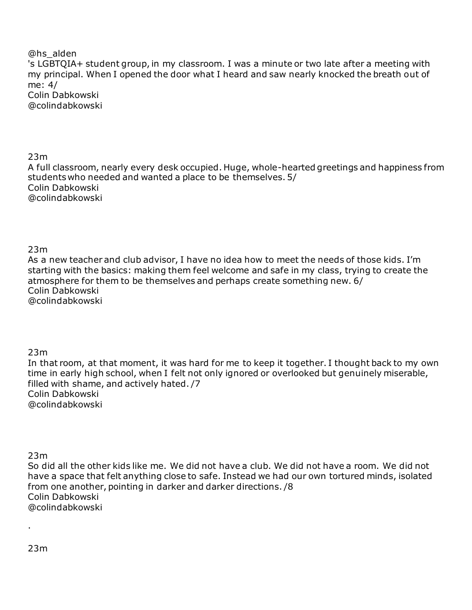#### @hs\_alden 's LGBTQIA+ student group, in my classroom. I was a minute or two late after a meeting with my principal. When I opened the door what I heard and saw nearly knocked the breath out of me: 4/ Colin Dabkowski @colindabkowski

23m

A full classroom, nearly every desk occupied. Huge, whole-hearted greetings and happiness from students who needed and wanted a place to be themselves. 5/ Colin Dabkowski @colindabkowski

#### 23m

As a new teacher and club advisor, I have no idea how to meet the needs of those kids. I'm starting with the basics: making them feel welcome and safe in my class, trying to create the atmosphere for them to be themselves and perhaps create something new. 6/ Colin Dabkowski @colindabkowski

#### 23m

In that room, at that moment, it was hard for me to keep it together. I thought back to my own time in early high school, when I felt not only ignored or overlooked but genuinely miserable, filled with shame, and actively hated. /7 Colin Dabkowski @colindabkowski

23m

So did all the other kids like me. We did not have a club. We did not have a room. We did not have a space that felt anything close to safe. Instead we had our own tortured minds, isolated from one another, pointing in darker and darker directions. /8 Colin Dabkowski @colindabkowski

·

23m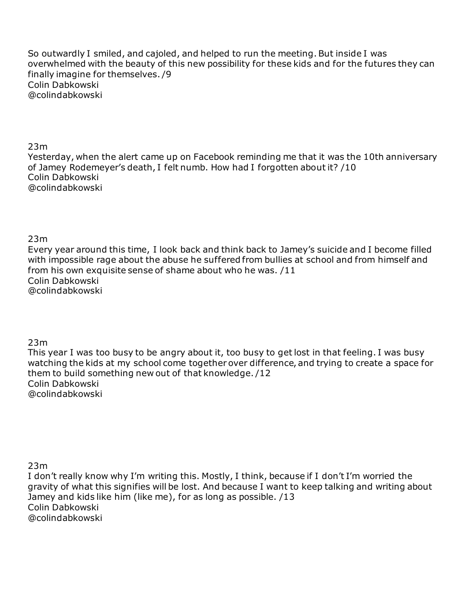So outwardly I smiled, and cajoled, and helped to run the meeting. But inside I was overwhelmed with the beauty of this new possibility for these kids and for the futures they can finally imagine for themselves. /9 Colin Dabkowski @colindabkowski

23m

Yesterday, when the alert came up on Facebook reminding me that it was the 10th anniversary of Jamey Rodemeyer's death, I felt numb. How had I forgotten about it? /10 Colin Dabkowski @colindabkowski

23m

Every year around this time, I look back and think back to Jamey's suicide and I become filled with impossible rage about the abuse he suffered from bullies at school and from himself and from his own exquisite sense of shame about who he was. /11 Colin Dabkowski @colindabkowski

23m

This year I was too busy to be angry about it, too busy to get lost in that feeling. I was busy watching the kids at my school come together over difference, and trying to create a space for them to build something new out of that knowledge. /12 Colin Dabkowski @colindabkowski

23m

I don't really know why I'm writing this. Mostly, I think, because if I don't I'm worried the gravity of what this signifies will be lost. And because I want to keep talking and writing about Jamey and kids like him (like me), for as long as possible. /13 Colin Dabkowski @colindabkowski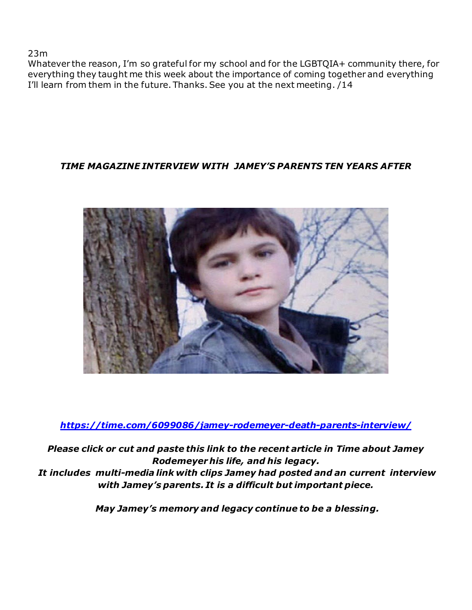23m

Whatever the reason, I'm so grateful for my school and for the LGBTQIA+ community there, for everything they taught me this week about the importance of coming together and everything I'll learn from them in the future. Thanks. See you at the next meeting. /14

## *TIME MAGAZINE INTERVIEW WITH JAMEY'S PARENTS TEN YEARS AFTER*



*<https://time.com/6099086/jamey-rodemeyer-death-parents-interview/>*

*Please click or cut and paste this link to the recent article in Time about Jamey Rodemeyer his life, and his legacy. It includes multi-media link with clips Jamey had posted and an current interview with Jamey's parents. It is a difficult but important piece.*

*May Jamey's memory and legacy continue to be a blessing.*